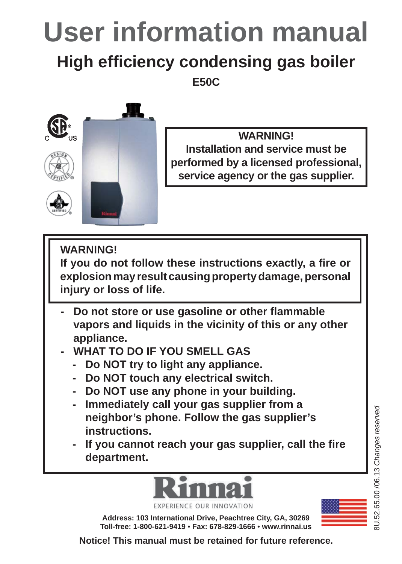# **User information manual**

## **High effi ciency condensing gas boiler**

**E50C**



**WARNING! Installation and service must be performed by a licensed professional, service agency or the gas supplier.**

**WARNING!**

If you do not follow these instructions exactly, a fire or **explosion may result causing property damage, personal injury or loss of life.**

- **Do not store or use gasoline or other fl ammable vapors and liquids in the vicinity of this or any other appliance.**
- **WHAT TO DO IF YOU SMELL GAS**
	- **Do NOT try to light any appliance.**
	- **Do NOT touch any electrical switch.**
	- **Do NOT use any phone in your building.**
	- **Immediately call your gas supplier from a neighbor's phone. Follow the gas supplier's instructions.**
	- If you cannot reach your gas supplier, call the fire **department.**



**EXPERIENCE OUR INNOVATI** 

**Address: 103 International Drive, Peachtree City, GA, 30269 Toll-free: 1-800-621-9419** • **Fax: 678-829-1666** • **www.rinnai.us**



**Notice! This manual must be retained for future reference.**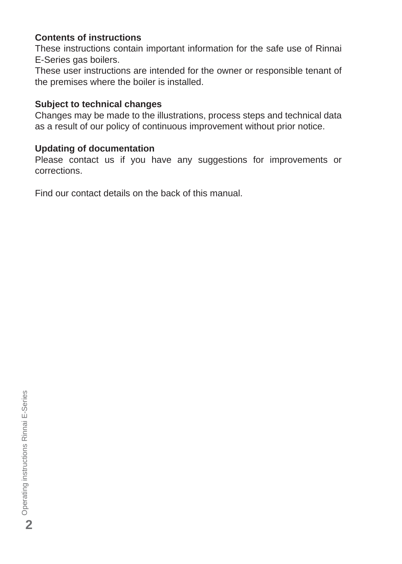#### **Contents of instructions**

These instructions contain important information for the safe use of Rinnai E-Series gas boilers.

These user instructions are intended for the owner or responsible tenant of the premises where the boiler is installed.

#### **Subject to technical changes**

Changes may be made to the illustrations, process steps and technical data as a result of our policy of continuous improvement without prior notice.

#### **Updating of documentation**

Please contact us if you have any suggestions for improvements or corrections.

Find our contact details on the back of this manual.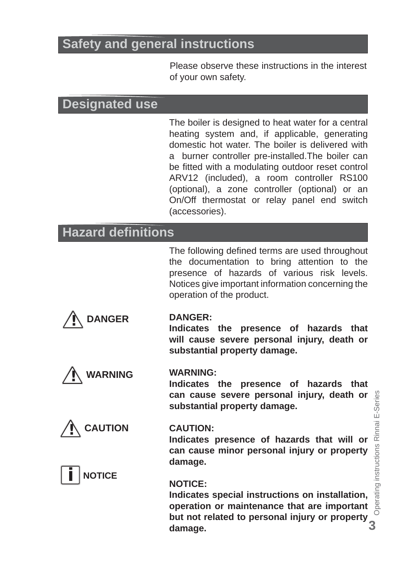## **Safety and general instructions**

Please observe these instructions in the interest of your own safety.

## **Designated use**

The boiler is designed to heat water for a central heating system and, if applicable, generating domestic hot water. The boiler is delivered with a burner controller pre-installed.The boiler can be fitted with a modulating outdoor reset control ARV12 (included), a room controller RS100 (optional), a zone controller (optional) or an On/Off thermostat or relay panel end switch (accessories).

## **Hazard defi nitions**

The following defined terms are used throughout the documentation to bring attention to the presence of hazards of various risk levels. Notices give important information concerning the operation of the product.



#### **DANGER:**

**Indicates the presence of hazards that will cause severe personal injury, death or substantial property damage.**

**Indicates the presence of hazards that can cause severe personal injury, death or** 

**substantial property damage.**



## **! CAUTION**



#### **CAUTION:**

**WARNING:**

**Indicates presence of hazards that will or can cause minor personal injury or property damage.**

#### **NOTICE:**

but not related to personal injury or property 3 **Indicates special instructions on installation, operation or maintenance that are important but not related to personal injury or property damage.**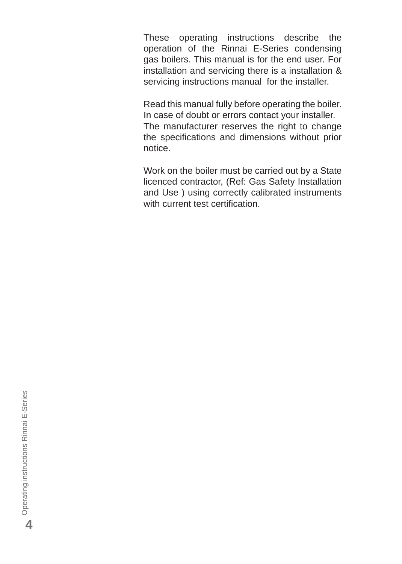These operating instructions describe the operation of the Rinnai E-Series condensing gas boilers. This manual is for the end user. For installation and servicing there is a installation & servicing instructions manual for the installer.

Read this manual fully before operating the boiler. In case of doubt or errors contact your installer. The manufacturer reserves the right to change the specifications and dimensions without prior notice.

Work on the boiler must be carried out by a State licenced contractor, (Ref: Gas Safety Installation and Use ) using correctly calibrated instruments with current test certification.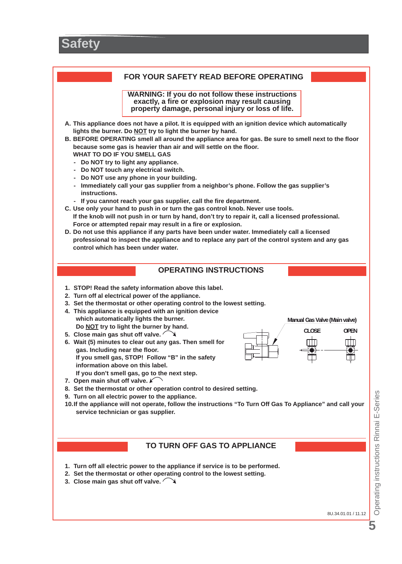

**TO TURN OFF GAS TO APPLIANCE**

- **1. Turn off all electric power to the appliance if service is to be performed.**
- **2. Set the thermostat or other operating control to the lowest setting.**
- **3. Close main gas shut off valve.**

8U.34.01.01 / 11.12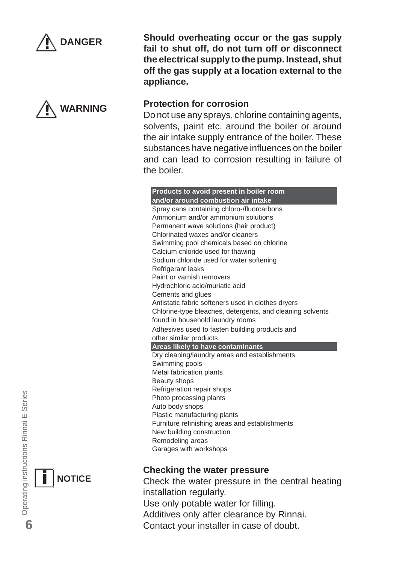



**Should overheating occur or the gas supply fail to shut off, do not turn off or disconnect the electrical supply to the pump. Instead, shut off the gas supply at a location external to the appliance.**

#### **Protection for corrosion**

Do not use any sprays, chlorine containing agents, solvents, paint etc. around the boiler or around the air intake supply entrance of the boiler. These substances have negative influences on the boiler and can lead to corrosion resulting in failure of the boiler.

**Products to avoid present in boiler room and/or around combustion air intake** Spray cans containing chloro-/fluorcarbons Ammonium and/or ammonium solutions Permanent wave solutions (hair product) Chlorinated waxes and/or cleaners Swimming pool chemicals based on chlorine Calcium chloride used for thawing Sodium chloride used for water softening Refrigerant leaks Paint or varnish removers Hydrochloric acid/muriatic acid Cements and glues Antistatic fabric softeners used in clothes dryers Chlorine-type bleaches, detergents, and cleaning solvents found in household laundry rooms Adhesives used to fasten building products and other similar products **Areas likely to have contaminants** Dry cleaning/laundry areas and establishments Swimming pools Metal fabrication plants Beauty shops Refrigeration repair shops Photo processing plants Auto body shops Plastic manufacturing plants Furniture refinishing areas and establishments New building construction Remodeling areas Garages with workshops

#### **Checking the water pressure**

Check the water pressure in the central heating installation regularly. Use only potable water for filling. Additives only after clearance by Rinnai. Contact your installer in case of doubt.

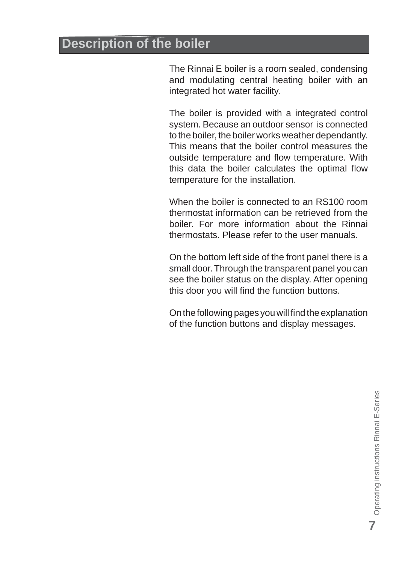## **Description of the boiler**

The Rinnai E boiler is a room sealed, condensing and modulating central heating boiler with an integrated hot water facility.

The boiler is provided with a integrated control system. Because an outdoor sensor is connected to the boiler, the boiler works weather dependantly. This means that the boiler control measures the outside temperature and flow temperature. With this data the boiler calculates the optimal flow temperature for the installation.

When the boiler is connected to an RS100 room thermostat information can be retrieved from the boiler. For more information about the Rinnai thermostats. Please refer to the user manuals.

On the bottom left side of the front panel there is a small door. Through the transparent panel you can see the boiler status on the display. After opening this door you will find the function buttons.

On the following pages you will find the explanation of the function buttons and display messages.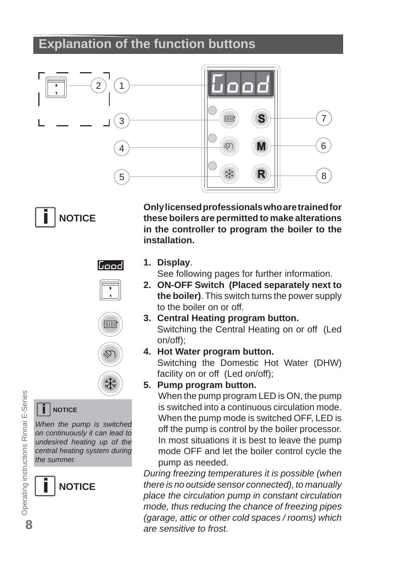## **Explanation of the function buttons**



**i NOTICE**

**Only licensed professionals who are trained for these boilers are permitted to make alterations in the controller to program the boiler to the installation.**

## الممما







## **i NOTICE**

*When the pump is switched on continuously it can lead to undesired heating up of the central heating system during the summer.*



**1. Display**.

See following pages for further information.

- **2. ON-OFF Switch (Placed separately next to the boiler)**. This switch turns the power supply to the boiler on or off.
- **3. Central Heating program button.** Switching the Central Heating on or off (Led on/off);
- **4. Hot Water program button.** Switching the Domestic Hot Water (DHW) facility on or off (Led on/off);

#### **5. Pump program button.**

When the pump program LED is ON, the pump is switched into a continuous circulation mode. When the pump mode is switched OFF, LED is off the pump is control by the boiler processor. In most situations it is best to leave the pump mode OFF and let the boiler control cycle the pump as needed.

*During freezing temperatures it is possible (when there is no outside sensor connected), to manually place the circulation pump in constant circulation mode, thus reducing the chance of freezing pipes (garage, attic or other cold spaces / rooms) which are sensitive to frost.*

 Operating instructions Rinnai E-Series Operating instructions Rinnai E-Series **8**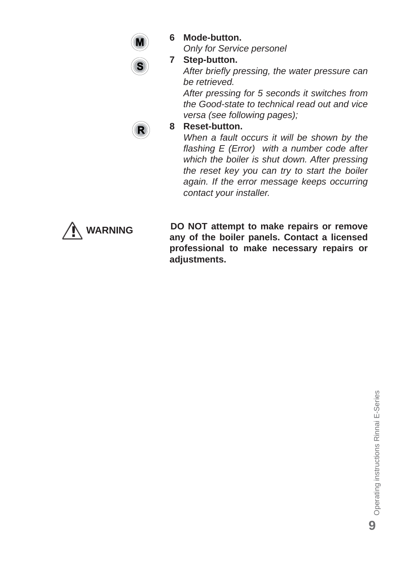

**6 Mode-button.**

 *Only for Service personel*

#### **7 Step-button.**

*After briefl y pressing, the water pressure can be retrieved.* 

 *After pressing for 5 seconds it switches from the Good-state to technical read out and vice versa (see following pages);*



#### **8 Reset-button.**

*When a fault occurs it will be shown by the fl ashing E (Error) with a number code after which the boiler is shut down. After pressing the reset key you can try to start the boiler again. If the error message keeps occurring contact your installer.*



**DO NOT attempt to make repairs or remove any of the boiler panels. Contact a licensed professional to make necessary repairs or adjustments.**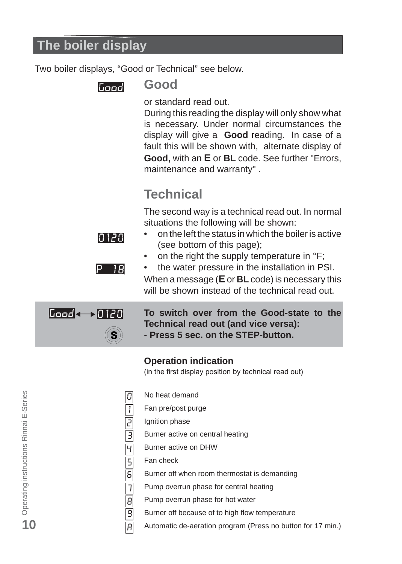## **The boiler display**

Two boiler displays, "Good or Technical" see below.

Good

ח גוח

P 18

### **Good**

or standard read out.

During this reading the display will only show what is necessary. Under normal circumstances the display will give a **Good** reading. In case of a fault this will be shown with, alternate display of **Good,** with an **E** or **BL** code. See further "Errors, maintenance and warranty" .

## **Technical**

The second way is a technical read out. In normal situations the following will be shown:

- on the left the status in which the boiler is active (see bottom of this page);
- on the right the supply temperature in  ${}^{\circ}F$ ;

• the water pressure in the installation in PSI. When a message (**E** or **BL** code) is necessary this will be shown instead of the technical read out.



**To switch over from the Good-state to the Technical read out (and vice versa): - Press 5 sec. on the STEP-button.**

#### **Operation indication**

(in the first display position by technical read out)

- No heat demand
- Fan pre/post purge
- 2 Ignition phase

1

 $\overline{0}$ 

- Burner active on central heating 3
	- Burner active on DHW
	- Fan check
	- Burner off when room thermostat is demanding
	- Pump overrun phase for central heating
	- Pump overrun phase for hot water
	- Burner off because of to high flow temperature
	- Automatic de-aeration program (Press no button for 17 min.)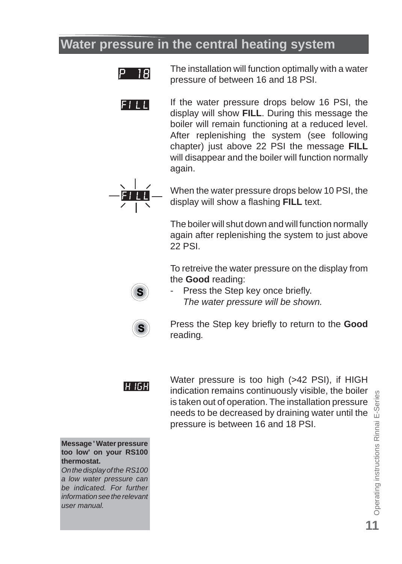## **Water pressure in the central heating system**



The installation will function optimally with a water pressure of between 16 and 18 PSI.

If the water pressure drops below 16 PSI, the  $F111$ display will show **FILL**. During this message the boiler will remain functioning at a reduced level. After replenishing the system (see following chapter) just above 22 PSI the message **FILL** will disappear and the boiler will function normally again.



When the water pressure drops below 10 PSI, the display will show a flashing **FILL** text.

The boiler will shut down and will function normally again after replenishing the system to just above 22 PSI.

To retreive the water pressure on the display from the **Good** reading:



Press the Step key once briefly. *The water pressure will be shown.* 



Press the Step key briefly to return to the **Good** reading*.* 



Water pressure is too high (>42 PSI), if HIGH indication remains continuously visible, the boiler is taken out of operation. The installation pressure needs to be decreased by draining water until the pressure is between 16 and 18 PSI.

**Message ' Water pressure too low' on your RS100 thermostat.**

*On the display of the RS100 a low water pressure can be indicated. For further information see the relevant user manual.*

Operating instructions Rinnai E-Series Operating instructions Rinnai E-Series **11**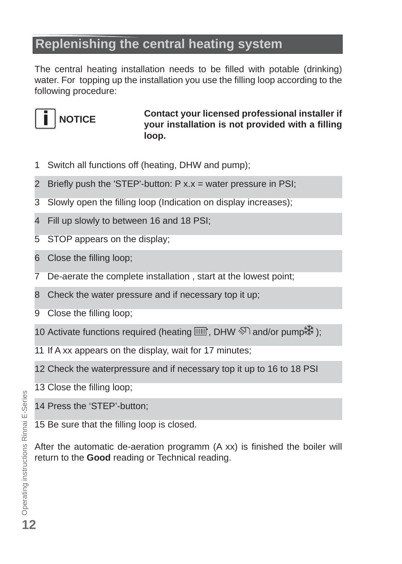## **Replenishing the central heating system**

The central heating installation needs to be filled with potable (drinking) water. For topping up the installation you use the filling loop according to the following procedure:



**Contact your licensed professional installer if your installation is not provided with a fi lling loop.**

- 1 Switch all functions off (heating, DHW and pump);
- 2 Briefly push the 'STEP'-button:  $P$  x.x = water pressure in PSI;
- 3 Slowly open the filling loop (Indication on display increases);
- 4 Fill up slowly to between 16 and 18 PSI;
- 5 STOP appears on the display;
- 6 Close the filling loop;
- 7 De-aerate the complete installation , start at the lowest point;
- 8 Check the water pressure and if necessary top it up;
- 9 Close the filling loop;
- 10 Activate functions required (heating  $\text{min}$ , DHW  $\text{N}$  and/or pump  $\text{N}$ );
- 11 If A xx appears on the display, wait for 17 minutes;
- 12 Check the waterpressure and if necessary top it up to 16 to 18 PSI
- 13 Close the filling loop;
- 14 Press the 'STEP'-button;
- 15 Be sure that the filling loop is closed.

After the automatic de-aeration programm  $(A \times x)$  is finished the boiler will return to the **Good** reading or Technical reading.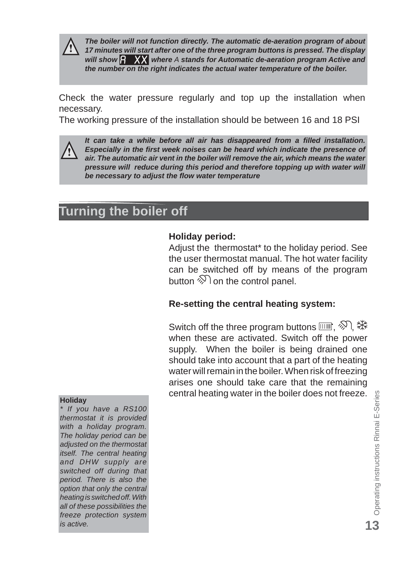

*The boiler will not function directly. The automatic de-aeration program of about 17 minutes will start after one of the three program buttons is pressed. The display*  will show  $\beta$  XX where A stands for Automatic de-aeration program Active and *the number on the right indicates the actual water temperature of the boiler.*

Check the water pressure regularly and top up the installation when necessary.

The working pressure of the installation should be between 16 and 18 PSI



 *It can take a while before all air has disappeared from a fi lled installation. Especially in the first week noises can be heard which indicate the presence of air. The automatic air vent in the boiler will remove the air, which means the water pressure will reduce during this period and therefore topping up with water will be necessary to adjust the fl ow water temperature*

## **Turning the boiler off**

#### **Holiday period:**

Adjust the thermostat\* to the holiday period. See the user thermostat manual. The hot water facility can be switched off by means of the program button  $\mathcal{D}$  on the control panel.

#### **Re-setting the central heating system:**

Switch off the three program buttons  $\text{min.} \otimes \text{A}$ : when these are activated. Switch off the power supply. When the boiler is being drained one should take into account that a part of the heating water will remain in the boiler. When risk of freezing arises one should take care that the remaining central heating water in the boiler does not freeze. **Holiday**

*\* If you have a RS100 thermostat it is provided with a holiday program. The holiday period can be adjusted on the thermostat itself. The central heating and DHW supply are switched off during that period. There is also the option that only the central heating is switched off. With all of these possibilities the freeze protection system is active.*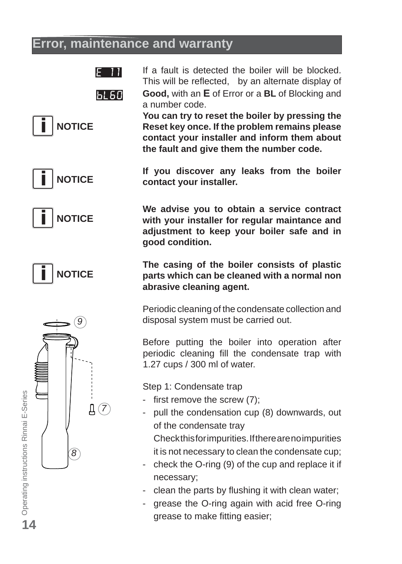## **Error, maintenance and warranty**

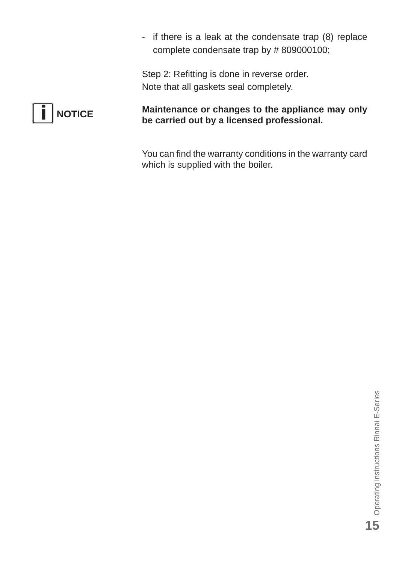- if there is a leak at the condensate trap (8) replace complete condensate trap by # 809000100;

Step 2: Refitting is done in reverse order. Note that all gaskets seal completely.



**Maintenance or changes to the appliance may only be carried out by a licensed professional.**

You can find the warranty conditions in the warranty card which is supplied with the boiler.